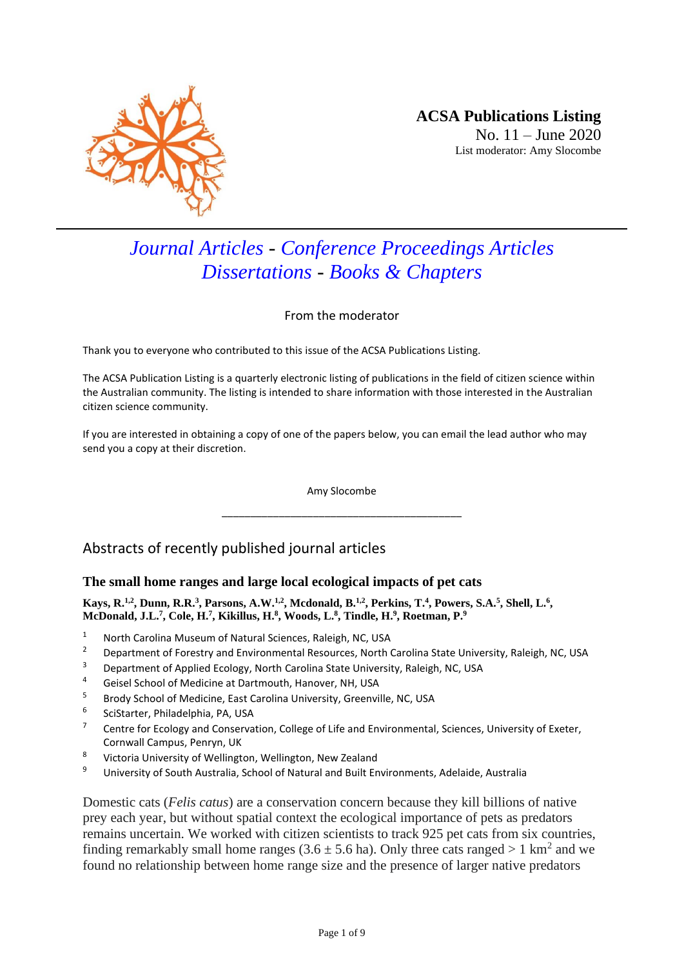

# *Journal Articles - Conference Proceedings Articles Dissertations - Books & Chapters*

From the moderator

Thank you to everyone who contributed to this issue of the ACSA Publications Listing.

The ACSA Publication Listing is a quarterly electronic listing of publications in the field of citizen science within the Australian community. The listing is intended to share information with those interested in the Australian citizen science community.

If you are interested in obtaining a copy of one of the papers below, you can email the lead author who may send you a copy at their discretion.

> Amy Slocombe \_\_\_\_\_\_\_\_\_\_\_\_\_\_\_\_\_\_\_\_\_\_\_\_\_\_\_\_\_\_\_\_\_\_\_\_\_\_\_\_\_\_

# Abstracts of recently published journal articles

## **The small home ranges and large local ecological impacts of pet cats**

Kays, R.<sup>1,2</sup>, Dunn, R.R.<sup>3</sup>, Parsons, A.W.<sup>1,2</sup>, Mcdonald, B.<sup>1,2</sup>, Perkins, T.<sup>4</sup>, Powers, S.A.<sup>5</sup>, Shell, L.<sup>6</sup>, **McDonald, J.L. 7 , Cole, H. 7 , Kikillus, H. 8 , Woods, L. 8 , Tindle, H. 9 , Roetman, P. 9**

- 1 North Carolina Museum of Natural Sciences, Raleigh, NC, USA<br>2 Department of Essects and Environmental Becauses, North
- <sup>2</sup> Department of Forestry and Environmental Resources, North Carolina State University, Raleigh, NC, USA<br><sup>3</sup> Department of Annlied Ecology, North Carolina State University, Baleigh, NC, USA
- <sup>3</sup> Department of Applied Ecology, North Carolina State University, Raleigh, NC, USA
- <sup>4</sup> Geisel School of Medicine at Dartmouth, Hanover, NH, USA<br> $\frac{5}{2}$  Brody School of Medicine, East Caroline University, Croony
- <sup>5</sup> Brody School of Medicine, East Carolina University, Greenville, NC, USA
- 6 SciStarter, Philadelphia, PA, USA
- <sup>7</sup> Centre for Ecology and Conservation, College of Life and Environmental, Sciences, University of Exeter, Cornwall Campus, Penryn, UK
- <sup>8</sup> Victoria University of Wellington, Wellington, New Zealand
- <sup>9</sup> University of South Australia, School of Natural and Built Environments, Adelaide, Australia

Domestic cats (*Felis catus*) are a conservation concern because they kill billions of native prey each year, but without spatial context the ecological importance of pets as predators remains uncertain. We worked with citizen scientists to track 925 pet cats from six countries, finding remarkably small home ranges  $(3.6 \pm 5.6 \text{ ha})$ . Only three cats ranged > 1 km<sup>2</sup> and we found no relationship between home range size and the presence of larger native predators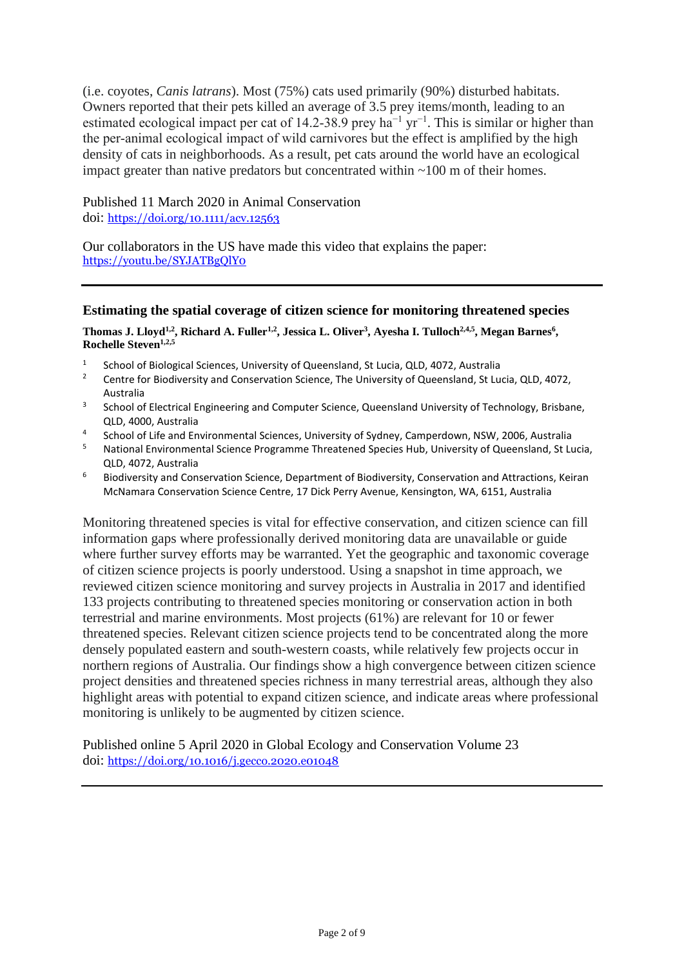(i.e. coyotes, *Canis latrans*). Most (75%) cats used primarily (90%) disturbed habitats. Owners reported that their pets killed an average of 3.5 prey items/month, leading to an estimated ecological impact per cat of 14.2-38.9 prey ha<sup> $-1$ </sup> yr<sup> $-1$ </sup>. This is similar or higher than the per-animal ecological impact of wild carnivores but the effect is amplified by the high density of cats in neighborhoods. As a result, pet cats around the world have an ecological impact greater than native predators but concentrated within  $\sim 100$  m of their homes.

## Published 11 March 2020 in Animal Conservation doi: <https://doi.org/10.1111/acv.12563>

Our collaborators in the US have made this video that explains the paper: <https://youtu.be/SYJATBgQlY0>

## **Estimating the spatial coverage of citizen science for monitoring threatened species**

**Thomas J. Lloyd1,2 , Richard A. Fuller1,2, Jessica L. Oliver<sup>3</sup> , Ayesha I. Tulloch2,4,5 , Megan Barnes 6 , Rochelle Steven1,2,5**

- 1 School of Biological Sciences, University of Queensland, St Lucia, QLD, 4072, Australia
- <sup>2</sup> Centre for Biodiversity and Conservation Science, The University of Queensland, St Lucia, QLD, 4072, Australia
- 3 School of Electrical Engineering and Computer Science, Queensland University of Technology, Brisbane, QLD, 4000, Australia
- 4 School of Life and Environmental Sciences, University of Sydney, Camperdown, NSW, 2006, Australia
- <sup>5</sup> National Environmental Science Programme Threatened Species Hub, University of Queensland, St Lucia, QLD, 4072, Australia
- <sup>6</sup> Biodiversity and Conservation Science, Department of Biodiversity, Conservation and Attractions, Keiran McNamara Conservation Science Centre, 17 Dick Perry Avenue, Kensington, WA, 6151, Australia

Monitoring threatened species is vital for effective conservation, and citizen science can fill information gaps where professionally derived monitoring data are unavailable or guide where further survey efforts may be warranted. Yet the geographic and taxonomic coverage of citizen science projects is poorly understood. Using a snapshot in time approach, we reviewed citizen science monitoring and survey projects in Australia in 2017 and identified 133 projects contributing to threatened species monitoring or conservation action in both terrestrial and marine environments. Most projects (61%) are relevant for 10 or fewer threatened species. Relevant citizen science projects tend to be concentrated along the more densely populated eastern and south-western coasts, while relatively few projects occur in northern regions of Australia. Our findings show a high convergence between citizen science project densities and threatened species richness in many terrestrial areas, although they also highlight areas with potential to expand citizen science, and indicate areas where professional monitoring is unlikely to be augmented by citizen science.

Published online 5 April 2020 in Global Ecology and Conservation Volume 23 doi: <https://doi.org/10.1016/j.gecco.2020.e01048>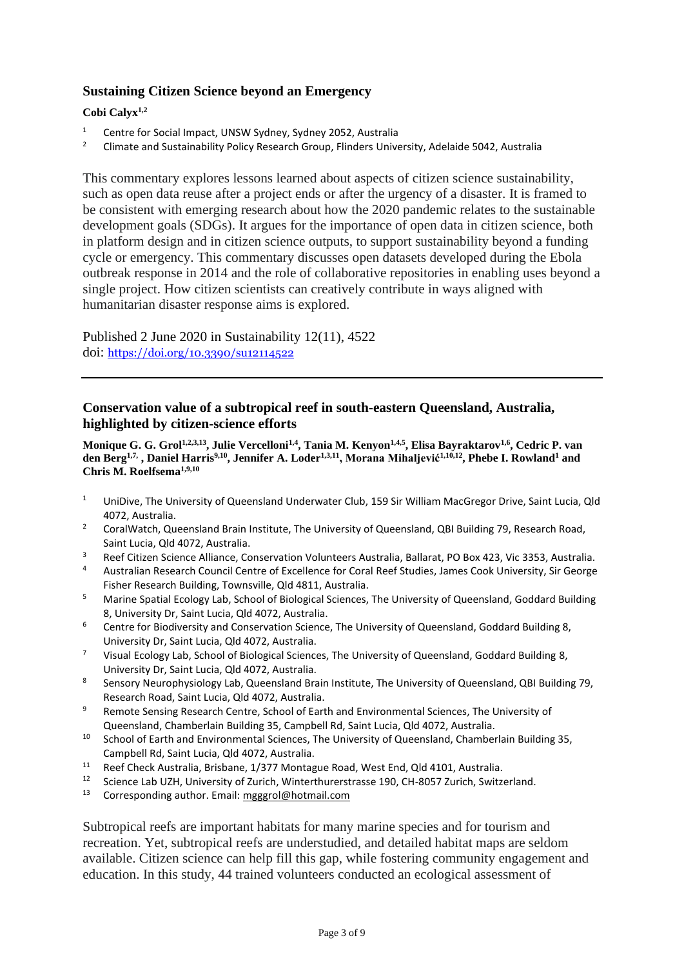# **Sustaining Citizen Science beyond an Emergency**

## **Cobi Calyx1,2**

- <sup>1</sup> Centre for Social Impact, UNSW Sydney, Sydney 2052, Australia<br><sup>2</sup> Climate and Sustainability Policy Bosoarch Group, Elinders Unive
- <sup>2</sup> Climate and Sustainability Policy Research Group, Flinders University, Adelaide 5042, Australia

This commentary explores lessons learned about aspects of citizen science sustainability, such as open data reuse after a project ends or after the urgency of a disaster. It is framed to be consistent with emerging research about how the 2020 pandemic relates to the sustainable development goals (SDGs). It argues for the importance of open data in citizen science, both in platform design and in citizen science outputs, to support sustainability beyond a funding cycle or emergency. This commentary discusses open datasets developed during the Ebola outbreak response in 2014 and the role of collaborative repositories in enabling uses beyond a single project. How citizen scientists can creatively contribute in ways aligned with humanitarian disaster response aims is explored.

Published 2 June 2020 in Sustainability 12(11), 4522 doi: <https://doi.org/10.3390/su12114522>

## **Conservation value of a subtropical reef in south-eastern Queensland, Australia, highlighted by citizen-science efforts**

**Monique G. G. Grol1,2,3,13, Julie Vercelloni1,4, Tania M. Kenyon1,4,5, Elisa Bayraktarov1,6, Cedric P. van den Berg1,7, , Daniel Harris9,10, Jennifer A. Loder1,3,11, Morana Mihaljević1,10,12, Phebe I. Rowland<sup>1</sup> and Chris M. Roelfsema1,9,10**

- <sup>1</sup> UniDive, The University of Queensland Underwater Club, 159 Sir William MacGregor Drive, Saint Lucia, Qld 4072, Australia.
- <sup>2</sup> CoralWatch, Queensland Brain Institute, The University of Queensland, QBI Building 79, Research Road, Saint Lucia, Qld 4072, Australia.
- <sup>3</sup> Reef Citizen Science Alliance, Conservation Volunteers Australia, Ballarat, PO Box 423, Vic 3353, Australia.
- <sup>4</sup> Australian Research Council Centre of Excellence for Coral Reef Studies, James Cook University, Sir George Fisher Research Building, Townsville, Qld 4811, Australia.
- <sup>5</sup> Marine Spatial Ecology Lab, School of Biological Sciences, The University of Queensland, Goddard Building 8, University Dr, Saint Lucia, Qld 4072, Australia.
- <sup>6</sup> Centre for Biodiversity and Conservation Science, The University of Queensland, Goddard Building 8, University Dr, Saint Lucia, Qld 4072, Australia.
- <sup>7</sup> Visual Ecology Lab, School of Biological Sciences, The University of Queensland, Goddard Building 8, University Dr, Saint Lucia, Qld 4072, Australia.
- 8 Sensory Neurophysiology Lab, Queensland Brain Institute, The University of Queensland, QBI Building 79, Research Road, Saint Lucia, Qld 4072, Australia.
- <sup>9</sup> Remote Sensing Research Centre, School of Earth and Environmental Sciences, The University of Queensland, Chamberlain Building 35, Campbell Rd, Saint Lucia, Qld 4072, Australia.
- <sup>10</sup> School of Earth and Environmental Sciences, The University of Queensland, Chamberlain Building 35, Campbell Rd, Saint Lucia, Qld 4072, Australia.
- 11 Reef Check Australia, Brisbane, 1/377 Montague Road, West End, Qld 4101, Australia.<br>12 Sejange Jah UZH, University of Zurich Winterthurerstrace 100, CH 8057 Zurich, Switz
- <sup>12</sup> Science Lab UZH, University of Zurich, Winterthurerstrasse 190, CH-8057 Zurich, Switzerland.<br><sup>13</sup> Corresponding author. Email: mgggrol@botmail.com
- Corresponding author. Email: [mgggrol@hotmail.com](mailto:mgggrol@hotmail.com)

Subtropical reefs are important habitats for many marine species and for tourism and recreation. Yet, subtropical reefs are understudied, and detailed habitat maps are seldom available. Citizen science can help fill this gap, while fostering community engagement and education. In this study, 44 trained volunteers conducted an ecological assessment of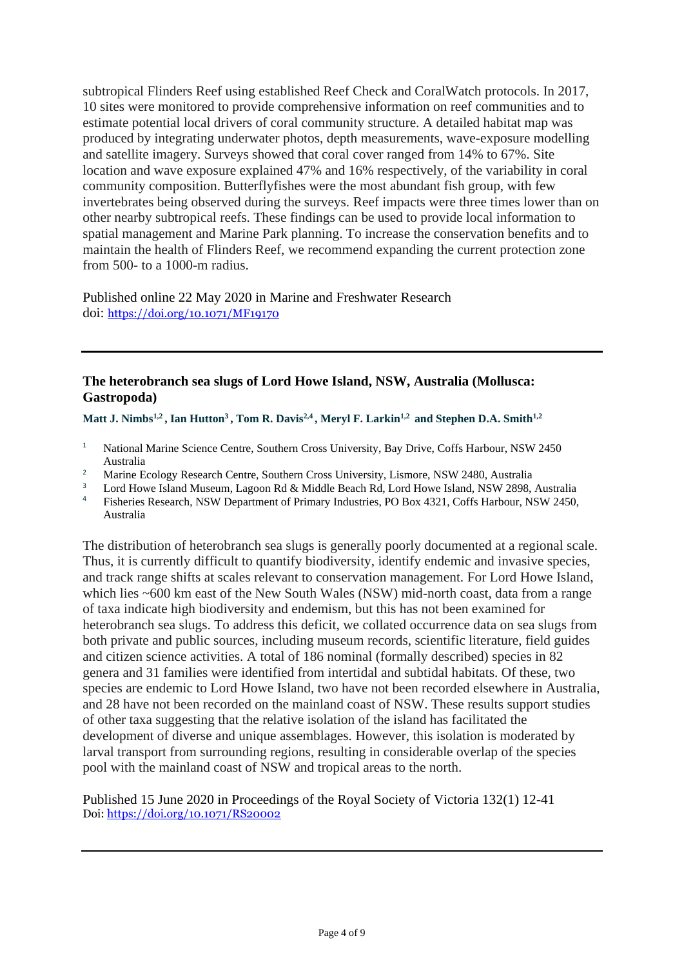subtropical Flinders Reef using established Reef Check and CoralWatch protocols. In 2017, 10 sites were monitored to provide comprehensive information on reef communities and to estimate potential local drivers of coral community structure. A detailed habitat map was produced by integrating underwater photos, depth measurements, wave-exposure modelling and satellite imagery. Surveys showed that coral cover ranged from 14% to 67%. Site location and wave exposure explained 47% and 16% respectively, of the variability in coral community composition. Butterflyfishes were the most abundant fish group, with few invertebrates being observed during the surveys. Reef impacts were three times lower than on other nearby subtropical reefs. These findings can be used to provide local information to spatial management and Marine Park planning. To increase the conservation benefits and to maintain the health of Flinders Reef, we recommend expanding the current protection zone from 500- to a 1000-m radius.

Published online 22 May 2020 in Marine and Freshwater Research doi: <https://doi.org/10.1071/MF19170>

## **The heterobranch sea slugs of Lord Howe Island, NSW, Australia (Mollusca: Gastropoda)**

**Matt J. Nimbs1,2 , Ian Hutton<sup>3</sup>, Tom R. Davis2,4 , Meryl F. Larkin1,2 and Stephen D.A. Smith1,2**

- <sup>1</sup> National Marine Science Centre, Southern Cross University, Bay Drive, Coffs Harbour, NSW 2450 Australia
- <sup>2</sup> Marine Ecology Research Centre, Southern Cross University, Lismore, NSW 2480, Australia<br><sup>3</sup> Lord Howe Island Museum, Lagoon Rd & Middle Beach Rd, Lord Howe Island, NSW 2898
- Lord Howe Island Museum, Lagoon Rd & Middle Beach Rd, Lord Howe Island, NSW 2898, Australia
- <sup>4</sup> Fisheries Research, NSW Department of Primary Industries, PO Box 4321, Coffs Harbour, NSW 2450, Australia

The distribution of heterobranch sea slugs is generally poorly documented at a regional scale. Thus, it is currently difficult to quantify biodiversity, identify endemic and invasive species, and track range shifts at scales relevant to conservation management. For Lord Howe Island, which lies ~600 km east of the New South Wales (NSW) mid-north coast, data from a range of taxa indicate high biodiversity and endemism, but this has not been examined for heterobranch sea slugs. To address this deficit, we collated occurrence data on sea slugs from both private and public sources, including museum records, scientific literature, field guides and citizen science activities. A total of 186 nominal (formally described) species in 82 genera and 31 families were identified from intertidal and subtidal habitats. Of these, two species are endemic to Lord Howe Island, two have not been recorded elsewhere in Australia, and 28 have not been recorded on the mainland coast of NSW. These results support studies of other taxa suggesting that the relative isolation of the island has facilitated the development of diverse and unique assemblages. However, this isolation is moderated by larval transport from surrounding regions, resulting in considerable overlap of the species pool with the mainland coast of NSW and tropical areas to the north.

Published 15 June 2020 in Proceedings of the Royal Society of Victoria 132(1) 12-41 Doi:<https://doi.org/10.1071/RS20002>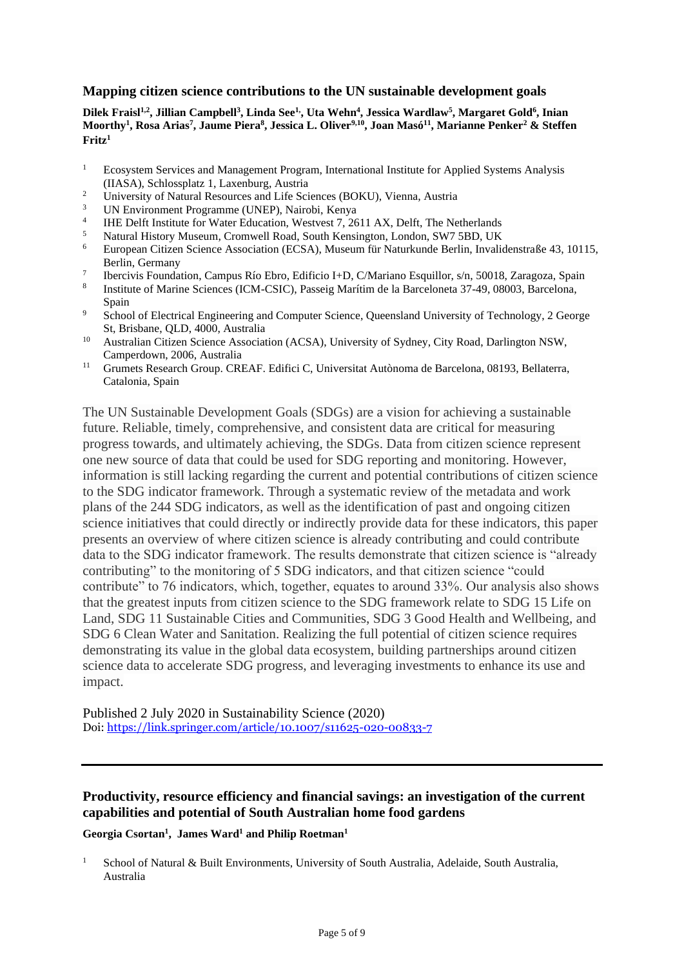## **Mapping citizen science contributions to the UN sustainable development goals**

[Dilek Fraisl](https://link.springer.com/article/10.1007/s11625-020-00833-7#auth-1)<sup>1,2</sup>, Jillian [Campbell](https://link.springer.com/article/10.1007/s11625-020-00833-7#auth-2)<sup>3</sup>, [Linda See](https://link.springer.com/article/10.1007/s11625-020-00833-7#auth-3)<sup>1,</sup>, [Uta Wehn](https://link.springer.com/article/10.1007/s11625-020-00833-7#auth-4)<sup>4</sup>, [Jessica Wardlaw](https://link.springer.com/article/10.1007/s11625-020-00833-7#auth-5)<sup>5</sup>, [Margaret Gold](https://link.springer.com/article/10.1007/s11625-020-00833-7#auth-6)<sup>6</sup>, Inian [Moorthy](https://link.springer.com/article/10.1007/s11625-020-00833-7#auth-7)<sup>1</sup>, [Rosa Arias](https://link.springer.com/article/10.1007/s11625-020-00833-7#auth-8)<sup>7</sup>, [Jaume Piera](https://link.springer.com/article/10.1007/s11625-020-00833-7#auth-9)<sup>8</sup>, [Jessica L. Oliver](https://link.springer.com/article/10.1007/s11625-020-00833-7#auth-10)<sup>9,10</sup>, [Joan Masó](https://link.springer.com/article/10.1007/s11625-020-00833-7#auth-11)<sup>11</sup>, [Marianne Penker](https://link.springer.com/article/10.1007/s11625-020-00833-7#auth-12)<sup>2</sup> & Steffen **[Fritz](https://link.springer.com/article/10.1007/s11625-020-00833-7#auth-13)<sup>1</sup>**

- <sup>1</sup> Ecosystem Services and Management Program, International Institute for Applied Systems Analysis (IIASA), Schlossplatz 1, Laxenburg, Austria
- <sup>2</sup> University of Natural Resources and Life Sciences (BOKU), Vienna, Austria
- <sup>3</sup> UN Environment Programme (UNEP), Nairobi, Kenya
- 4 IHE Delft Institute for Water Education, Westvest 7, 2611 AX, Delft, The Netherlands
- <sup>5</sup> Natural History Museum, Cromwell Road, South Kensington, London, SW7 5BD, UK<br><sup>6</sup> European Citizen Science, Association (ECSA), Museum fiir Noturlunde Berlin, Involvi
- <sup>6</sup> European Citizen Science Association (ECSA), Museum für Naturkunde Berlin, Invalidenstraße 43, 10115, Berlin, Germany
- 7 Ibercivis Foundation, Campus Río Ebro, Edificio I+D, C/Mariano Esquillor, s/n, 50018, Zaragoza, Spain
- 8 Institute of Marine Sciences (ICM-CSIC), Passeig Marítim de la Barceloneta 37-49, 08003, Barcelona, Spain
- <sup>9</sup> School of Electrical Engineering and Computer Science, Queensland University of Technology, 2 George St, Brisbane, QLD, 4000, Australia
- <sup>10</sup> Australian Citizen Science Association (ACSA), University of Sydney, City Road, Darlington NSW, Camperdown, 2006, Australia
- <sup>11</sup> Grumets Research Group. CREAF. Edifici C, Universitat Autònoma de Barcelona, 08193, Bellaterra, Catalonia, Spain

The UN Sustainable Development Goals (SDGs) are a vision for achieving a sustainable future. Reliable, timely, comprehensive, and consistent data are critical for measuring progress towards, and ultimately achieving, the SDGs. Data from citizen science represent one new source of data that could be used for SDG reporting and monitoring. However, information is still lacking regarding the current and potential contributions of citizen science to the SDG indicator framework. Through a systematic review of the metadata and work plans of the 244 SDG indicators, as well as the identification of past and ongoing citizen science initiatives that could directly or indirectly provide data for these indicators, this paper presents an overview of where citizen science is already contributing and could contribute data to the SDG indicator framework. The results demonstrate that citizen science is "already contributing" to the monitoring of 5 SDG indicators, and that citizen science "could contribute" to 76 indicators, which, together, equates to around 33%. Our analysis also shows that the greatest inputs from citizen science to the SDG framework relate to SDG 15 Life on Land, SDG 11 Sustainable Cities and Communities, SDG 3 Good Health and Wellbeing, and SDG 6 Clean Water and Sanitation. Realizing the full potential of citizen science requires demonstrating its value in the global data ecosystem, building partnerships around citizen science data to accelerate SDG progress, and leveraging investments to enhance its use and impact.

Published 2 July 2020 in Sustainability Science (2020) Doi:<https://link.springer.com/article/10.1007/s11625-020-00833-7>

# **Productivity, resource efficiency and financial savings: an investigation of the current capabilities and potential of South Australian home food gardens**

#### **Georgia Csortan<sup>1</sup> , [James Ward](https://link.springer.com/article/10.1007/s11625-020-00833-7#auth-2)<sup>1</sup> and Philip Roetman<sup>1</sup>**

<sup>1</sup> School of Natural & Built Environments, University of South Australia, Adelaide, South Australia, Australia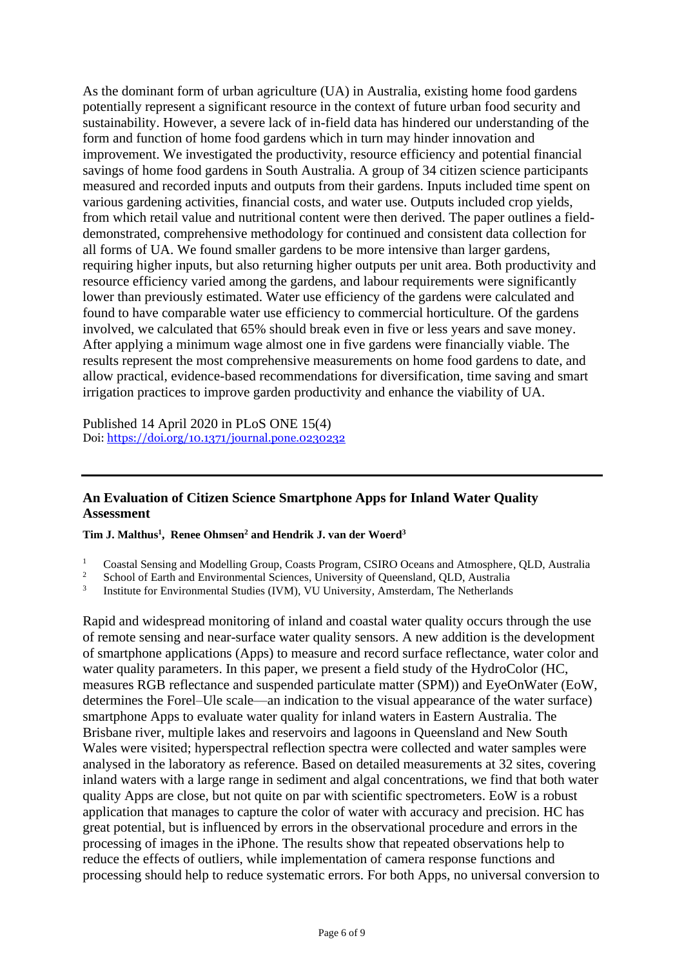As the dominant form of urban agriculture (UA) in Australia, existing home food gardens potentially represent a significant resource in the context of future urban food security and sustainability. However, a severe lack of in-field data has hindered our understanding of the form and function of home food gardens which in turn may hinder innovation and improvement. We investigated the productivity, resource efficiency and potential financial savings of home food gardens in South Australia. A group of 34 citizen science participants measured and recorded inputs and outputs from their gardens. Inputs included time spent on various gardening activities, financial costs, and water use. Outputs included crop yields, from which retail value and nutritional content were then derived. The paper outlines a fielddemonstrated, comprehensive methodology for continued and consistent data collection for all forms of UA. We found smaller gardens to be more intensive than larger gardens, requiring higher inputs, but also returning higher outputs per unit area. Both productivity and resource efficiency varied among the gardens, and labour requirements were significantly lower than previously estimated. Water use efficiency of the gardens were calculated and found to have comparable water use efficiency to commercial horticulture. Of the gardens involved, we calculated that 65% should break even in five or less years and save money. After applying a minimum wage almost one in five gardens were financially viable. The results represent the most comprehensive measurements on home food gardens to date, and allow practical, evidence-based recommendations for diversification, time saving and smart irrigation practices to improve garden productivity and enhance the viability of UA.

Published 14 April 2020 in PLoS ONE 15(4) Doi: <https://doi.org/10.1371/journal.pone.0230232>

# **An Evaluation of Citizen Science Smartphone Apps for Inland Water Quality Assessment**

#### **Tim J. Malthus<sup>1</sup> , [Renee Ohmsen](https://link.springer.com/article/10.1007/s11625-020-00833-7#auth-2)<sup>2</sup> and Hendrik J. van der Woerd<sup>3</sup>**

- <sup>1</sup> Coastal Sensing and Modelling Group, Coasts Program, CSIRO Oceans and Atmosphere, QLD, Australia
- <sup>2</sup> School of Earth and Environmental Sciences, University of Queensland, QLD, Australia
- 3 Institute for Environmental Studies (IVM), VU University, Amsterdam, The Netherlands

Rapid and widespread monitoring of inland and coastal water quality occurs through the use of remote sensing and near-surface water quality sensors. A new addition is the development of smartphone applications (Apps) to measure and record surface reflectance, water color and water quality parameters. In this paper, we present a field study of the HydroColor (HC, measures RGB reflectance and suspended particulate matter (SPM)) and EyeOnWater (EoW, determines the Forel–Ule scale—an indication to the visual appearance of the water surface) smartphone Apps to evaluate water quality for inland waters in Eastern Australia. The Brisbane river, multiple lakes and reservoirs and lagoons in Queensland and New South Wales were visited; hyperspectral reflection spectra were collected and water samples were analysed in the laboratory as reference. Based on detailed measurements at 32 sites, covering inland waters with a large range in sediment and algal concentrations, we find that both water quality Apps are close, but not quite on par with scientific spectrometers. EoW is a robust application that manages to capture the color of water with accuracy and precision. HC has great potential, but is influenced by errors in the observational procedure and errors in the processing of images in the iPhone. The results show that repeated observations help to reduce the effects of outliers, while implementation of camera response functions and processing should help to reduce systematic errors. For both Apps, no universal conversion to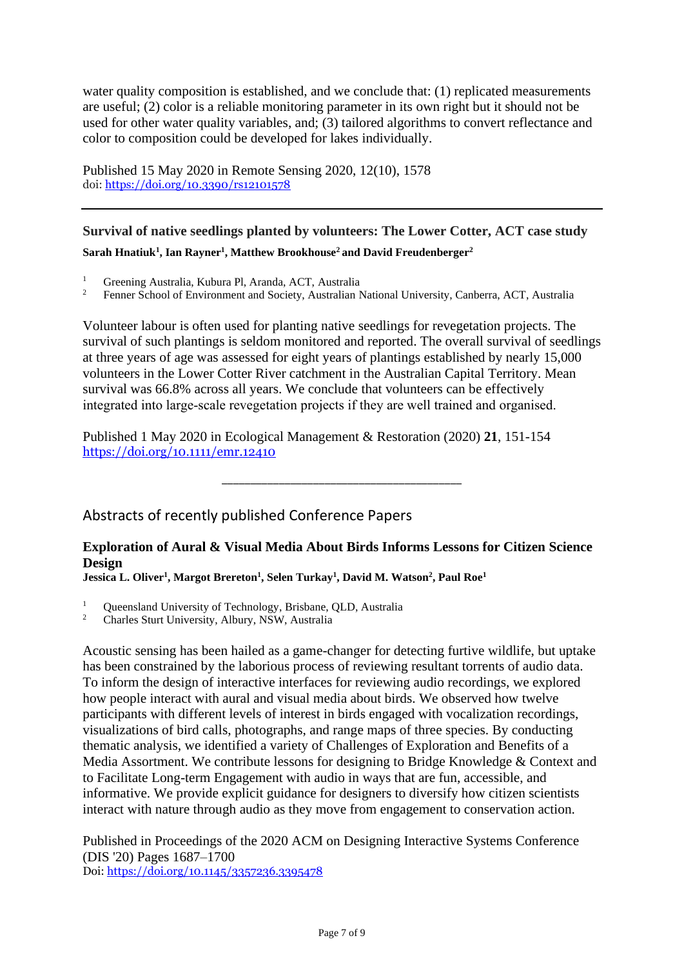water quality composition is established, and we conclude that: (1) replicated measurements are useful; (2) color is a reliable monitoring parameter in its own right but it should not be used for other water quality variables, and; (3) tailored algorithms to convert reflectance and color to composition could be developed for lakes individually.

Published 15 May 2020 in Remote Sensing 2020, 12(10), 1578 doi: <https://doi.org/10.3390/rs12101578>

**Survival of native seedlings planted by volunteers: The Lower Cotter, ACT case study Sarah Hnatiuk<sup>1</sup> , Ian Rayner<sup>1</sup> , Matthew Brookhouse<sup>2</sup> and David Freudenberger<sup>2</sup>**

<sup>1</sup> Greening Australia, Kubura Pl, Aranda, ACT, Australia<sup>2</sup>

<sup>2</sup> Fenner School of Environment and Society, Australian National University, Canberra, ACT, Australia

Volunteer labour is often used for planting native seedlings for revegetation projects. The survival of such plantings is seldom monitored and reported. The overall survival of seedlings at three years of age was assessed for eight years of plantings established by nearly 15,000 volunteers in the Lower Cotter River catchment in the Australian Capital Territory. Mean survival was 66.8% across all years. We conclude that volunteers can be effectively integrated into large‐scale revegetation projects if they are well trained and organised.

Published 1 May 2020 in Ecological Management & Restoration (2020) **21**, 151-154 <https://doi.org/10.1111/emr.12410>

# Abstracts of recently published Conference Papers

# **Exploration of Aural & Visual Media About Birds Informs Lessons for Citizen Science Design**

\_\_\_\_\_\_\_\_\_\_\_\_\_\_\_\_\_\_\_\_\_\_\_\_\_\_\_\_\_\_\_\_\_\_\_\_\_\_\_\_\_\_

**Jessica L. Oliver<sup>1</sup> , Margot Brereton<sup>1</sup> , Selen Turkay<sup>1</sup> , David M. Watson<sup>2</sup> , Paul Roe<sup>1</sup>**

- <sup>1</sup> Queensland University of Technology, Brisbane, QLD, Australia
- <sup>2</sup> Charles Sturt University, Albury, NSW, Australia

Acoustic sensing has been hailed as a game-changer for detecting furtive wildlife, but uptake has been constrained by the laborious process of reviewing resultant torrents of audio data. To inform the design of interactive interfaces for reviewing audio recordings, we explored how people interact with aural and visual media about birds. We observed how twelve participants with different levels of interest in birds engaged with vocalization recordings, visualizations of bird calls, photographs, and range maps of three species. By conducting thematic analysis, we identified a variety of Challenges of Exploration and Benefits of a Media Assortment. We contribute lessons for designing to Bridge Knowledge & Context and to Facilitate Long-term Engagement with audio in ways that are fun, accessible, and informative. We provide explicit guidance for designers to diversify how citizen scientists interact with nature through audio as they move from engagement to conservation action.

Published in Proceedings of the 2020 ACM on Designing Interactive Systems Conference (DIS '20) Pages 1687–1700 Doi: <https://doi.org/10.1145/3357236.3395478>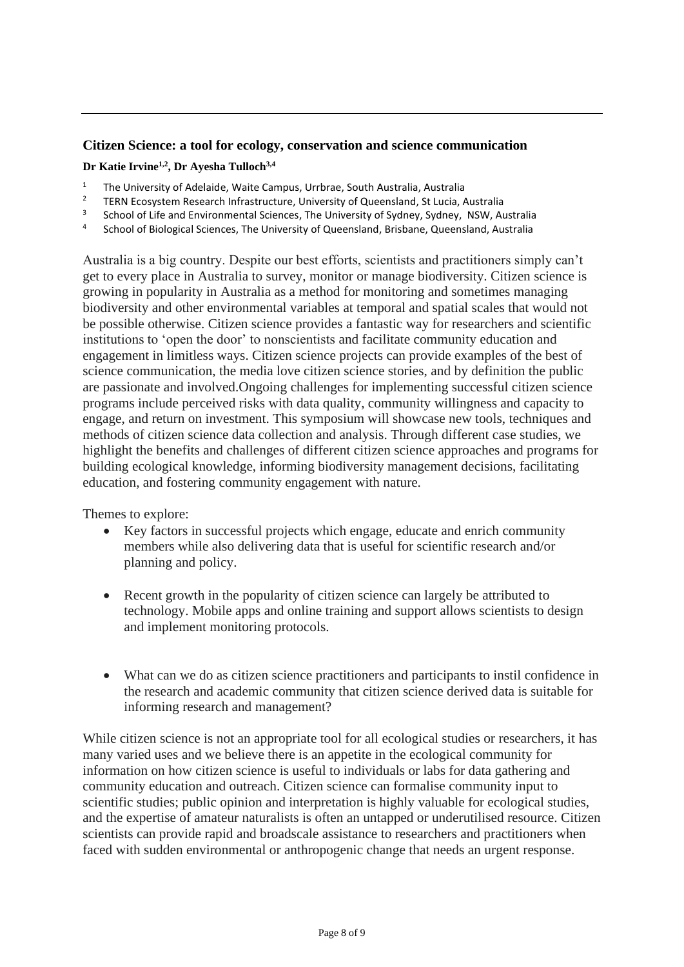## **Citizen Science: a tool for ecology, conservation and science communication**

#### **Dr Katie Irvine1,2, Dr Ayesha Tulloch3,4**

- <sup>1</sup> The University of Adelaide, Waite Campus, Urrbrae, South Australia, Australia<br><sup>2</sup> TEDN Fescustory Research Infrastructure, University of Queensland, St. Lucia, A
- <sup>2</sup> TERN Ecosystem Research Infrastructure, University of Queensland, St Lucia, Australia
- 3 School of Life and Environmental Sciences, The University of Sydney, Sydney, NSW, Australia
- 4 School of Biological Sciences, The University of Queensland, Brisbane, Queensland, Australia

Australia is a big country. Despite our best efforts, scientists and practitioners simply can't get to every place in Australia to survey, monitor or manage biodiversity. Citizen science is growing in popularity in Australia as a method for monitoring and sometimes managing biodiversity and other environmental variables at temporal and spatial scales that would not be possible otherwise. Citizen science provides a fantastic way for researchers and scientific institutions to 'open the door' to nonscientists and facilitate community education and engagement in limitless ways. Citizen science projects can provide examples of the best of science communication, the media love citizen science stories, and by definition the public are passionate and involved.Ongoing challenges for implementing successful citizen science programs include perceived risks with data quality, community willingness and capacity to engage, and return on investment. This symposium will showcase new tools, techniques and methods of citizen science data collection and analysis. Through different case studies, we highlight the benefits and challenges of different citizen science approaches and programs for building ecological knowledge, informing biodiversity management decisions, facilitating education, and fostering community engagement with nature.

Themes to explore:

- Key factors in successful projects which engage, educate and enrich community members while also delivering data that is useful for scientific research and/or planning and policy.
- Recent growth in the popularity of citizen science can largely be attributed to technology. Mobile apps and online training and support allows scientists to design and implement monitoring protocols.
- What can we do as citizen science practitioners and participants to instil confidence in the research and academic community that citizen science derived data is suitable for informing research and management?

While citizen science is not an appropriate tool for all ecological studies or researchers, it has many varied uses and we believe there is an appetite in the ecological community for information on how citizen science is useful to individuals or labs for data gathering and community education and outreach. Citizen science can formalise community input to scientific studies; public opinion and interpretation is highly valuable for ecological studies, and the expertise of amateur naturalists is often an untapped or underutilised resource. Citizen scientists can provide rapid and broadscale assistance to researchers and practitioners when faced with sudden environmental or anthropogenic change that needs an urgent response.